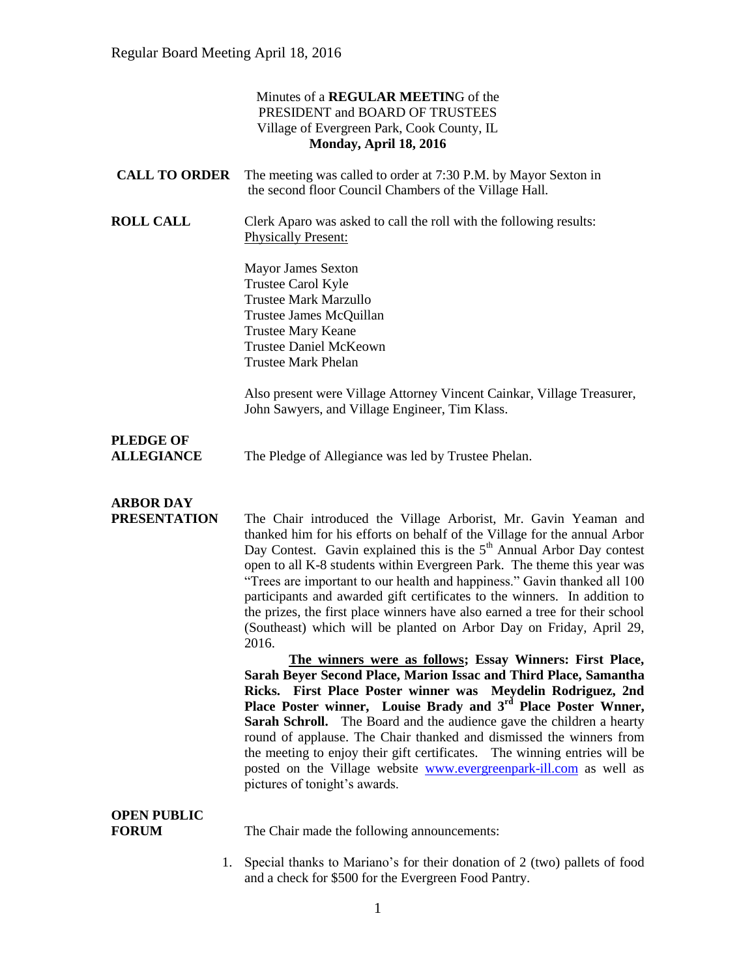|                                         | Minutes of a REGULAR MEETING of the<br>PRESIDENT and BOARD OF TRUSTEES<br>Village of Evergreen Park, Cook County, IL<br>Monday, April 18, 2016                                                                                                                                                                                                                                                                                                                                                                                                                                                                                                                                                                                                                                                                                                                                                                                                                                                                                                                                                                                                                                                                                                        |
|-----------------------------------------|-------------------------------------------------------------------------------------------------------------------------------------------------------------------------------------------------------------------------------------------------------------------------------------------------------------------------------------------------------------------------------------------------------------------------------------------------------------------------------------------------------------------------------------------------------------------------------------------------------------------------------------------------------------------------------------------------------------------------------------------------------------------------------------------------------------------------------------------------------------------------------------------------------------------------------------------------------------------------------------------------------------------------------------------------------------------------------------------------------------------------------------------------------------------------------------------------------------------------------------------------------|
| <b>CALL TO ORDER</b>                    | The meeting was called to order at 7:30 P.M. by Mayor Sexton in<br>the second floor Council Chambers of the Village Hall.                                                                                                                                                                                                                                                                                                                                                                                                                                                                                                                                                                                                                                                                                                                                                                                                                                                                                                                                                                                                                                                                                                                             |
| <b>ROLL CALL</b>                        | Clerk Aparo was asked to call the roll with the following results:<br><b>Physically Present:</b>                                                                                                                                                                                                                                                                                                                                                                                                                                                                                                                                                                                                                                                                                                                                                                                                                                                                                                                                                                                                                                                                                                                                                      |
|                                         | <b>Mayor James Sexton</b><br>Trustee Carol Kyle<br><b>Trustee Mark Marzullo</b><br>Trustee James McQuillan<br><b>Trustee Mary Keane</b><br><b>Trustee Daniel McKeown</b><br><b>Trustee Mark Phelan</b>                                                                                                                                                                                                                                                                                                                                                                                                                                                                                                                                                                                                                                                                                                                                                                                                                                                                                                                                                                                                                                                |
|                                         | Also present were Village Attorney Vincent Cainkar, Village Treasurer,<br>John Sawyers, and Village Engineer, Tim Klass.                                                                                                                                                                                                                                                                                                                                                                                                                                                                                                                                                                                                                                                                                                                                                                                                                                                                                                                                                                                                                                                                                                                              |
| <b>PLEDGE OF</b><br><b>ALLEGIANCE</b>   | The Pledge of Allegiance was led by Trustee Phelan.                                                                                                                                                                                                                                                                                                                                                                                                                                                                                                                                                                                                                                                                                                                                                                                                                                                                                                                                                                                                                                                                                                                                                                                                   |
| <b>ARBOR DAY</b><br><b>PRESENTATION</b> | The Chair introduced the Village Arborist, Mr. Gavin Yeaman and<br>thanked him for his efforts on behalf of the Village for the annual Arbor<br>Day Contest. Gavin explained this is the 5 <sup>th</sup> Annual Arbor Day contest<br>open to all K-8 students within Evergreen Park. The theme this year was<br>"Trees are important to our health and happiness." Gavin thanked all 100<br>participants and awarded gift certificates to the winners. In addition to<br>the prizes, the first place winners have also earned a tree for their school<br>(Southeast) which will be planted on Arbor Day on Friday, April 29,<br>2016.<br>The winners were as follows; Essay Winners: First Place,<br>Sarah Beyer Second Place, Marion Issac and Third Place, Samantha<br>Ricks. First Place Poster winner was Meydelin Rodriguez, 2nd<br>Place Poster winner, Louise Brady and 3 <sup>rd</sup> Place Poster Wnner,<br>Sarah Schroll. The Board and the audience gave the children a hearty<br>round of applause. The Chair thanked and dismissed the winners from<br>the meeting to enjoy their gift certificates. The winning entries will be<br>posted on the Village website www.evergreenpark-ill.com as well as<br>pictures of tonight's awards. |
| <b>OPEN PUBLIC</b><br><b>FORUM</b>      | The Chair made the following announcements:                                                                                                                                                                                                                                                                                                                                                                                                                                                                                                                                                                                                                                                                                                                                                                                                                                                                                                                                                                                                                                                                                                                                                                                                           |
| 1.                                      | Special thanks to Mariano's for their donation of 2 (two) pallets of food<br>and a check for \$500 for the Evergreen Food Pantry.                                                                                                                                                                                                                                                                                                                                                                                                                                                                                                                                                                                                                                                                                                                                                                                                                                                                                                                                                                                                                                                                                                                     |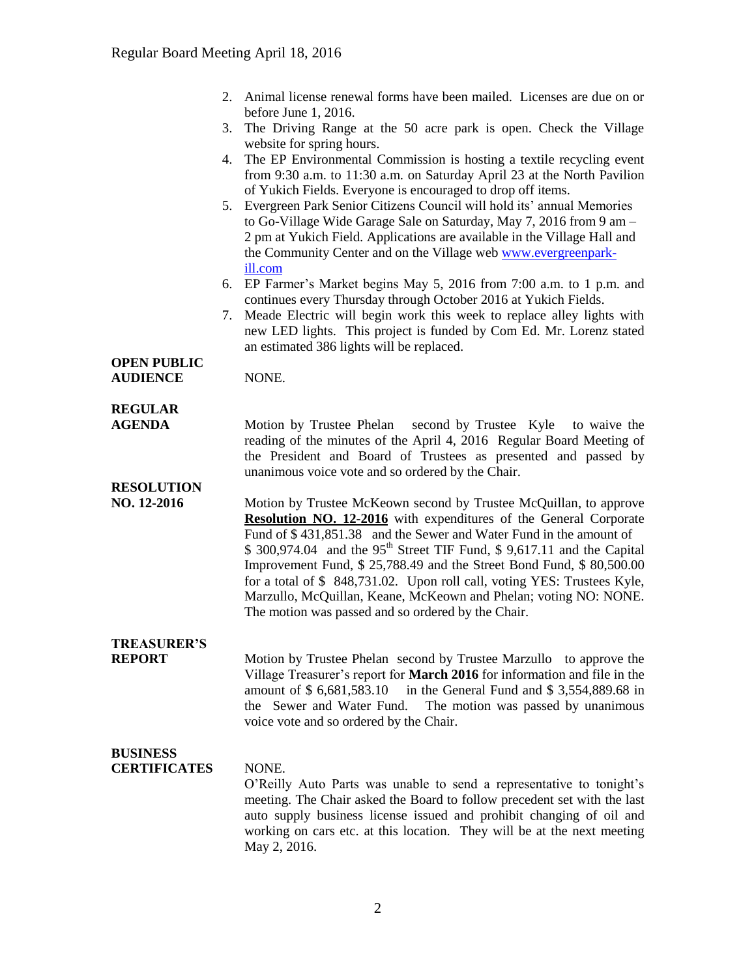|                    | 2. Animal license renewal forms have been mailed. Licenses are due on or<br>before June 1, 2016.                                                                                                                                                                                                                                                                                                                                                                                                                                                                                  |
|--------------------|-----------------------------------------------------------------------------------------------------------------------------------------------------------------------------------------------------------------------------------------------------------------------------------------------------------------------------------------------------------------------------------------------------------------------------------------------------------------------------------------------------------------------------------------------------------------------------------|
|                    | The Driving Range at the 50 acre park is open. Check the Village<br>3.                                                                                                                                                                                                                                                                                                                                                                                                                                                                                                            |
|                    | website for spring hours.                                                                                                                                                                                                                                                                                                                                                                                                                                                                                                                                                         |
|                    | The EP Environmental Commission is hosting a textile recycling event<br>4.<br>from 9:30 a.m. to 11:30 a.m. on Saturday April 23 at the North Pavilion                                                                                                                                                                                                                                                                                                                                                                                                                             |
|                    | of Yukich Fields. Everyone is encouraged to drop off items.                                                                                                                                                                                                                                                                                                                                                                                                                                                                                                                       |
|                    | Evergreen Park Senior Citizens Council will hold its' annual Memories<br>5.<br>to Go-Village Wide Garage Sale on Saturday, May 7, 2016 from 9 am -<br>2 pm at Yukich Field. Applications are available in the Village Hall and                                                                                                                                                                                                                                                                                                                                                    |
|                    | the Community Center and on the Village web www.evergreenpark-<br>ill.com                                                                                                                                                                                                                                                                                                                                                                                                                                                                                                         |
|                    | EP Farmer's Market begins May 5, 2016 from 7:00 a.m. to 1 p.m. and<br>6.<br>continues every Thursday through October 2016 at Yukich Fields.                                                                                                                                                                                                                                                                                                                                                                                                                                       |
|                    | Meade Electric will begin work this week to replace alley lights with<br>7.<br>new LED lights. This project is funded by Com Ed. Mr. Lorenz stated<br>an estimated 386 lights will be replaced.                                                                                                                                                                                                                                                                                                                                                                                   |
| <b>OPEN PUBLIC</b> |                                                                                                                                                                                                                                                                                                                                                                                                                                                                                                                                                                                   |
| <b>AUDIENCE</b>    | NONE.                                                                                                                                                                                                                                                                                                                                                                                                                                                                                                                                                                             |
| <b>REGULAR</b>     |                                                                                                                                                                                                                                                                                                                                                                                                                                                                                                                                                                                   |
| <b>AGENDA</b>      | Motion by Trustee Phelan second by Trustee Kyle<br>to waive the<br>reading of the minutes of the April 4, 2016 Regular Board Meeting of<br>the President and Board of Trustees as presented and passed by<br>unanimous voice vote and so ordered by the Chair.                                                                                                                                                                                                                                                                                                                    |
| <b>RESOLUTION</b>  |                                                                                                                                                                                                                                                                                                                                                                                                                                                                                                                                                                                   |
| NO. 12-2016        | Motion by Trustee McKeown second by Trustee McQuillan, to approve<br>Resolution NO. 12-2016 with expenditures of the General Corporate<br>Fund of \$431,851.38 and the Sewer and Water Fund in the amount of<br>\$ 300,974.04 and the 95 <sup>th</sup> Street TIF Fund, \$ 9,617.11 and the Capital<br>Improvement Fund, \$ 25,788.49 and the Street Bond Fund, \$ 80,500.00<br>for a total of \$848,731.02. Upon roll call, voting YES: Trustees Kyle,<br>Marzullo, McQuillan, Keane, McKeown and Phelan; voting NO: NONE.<br>The motion was passed and so ordered by the Chair. |
| <b>TREASURER'S</b> |                                                                                                                                                                                                                                                                                                                                                                                                                                                                                                                                                                                   |
| <b>REPORT</b>      | Motion by Trustee Phelan second by Trustee Marzullo to approve the<br>Village Treasurer's report for March 2016 for information and file in the<br>in the General Fund and \$3,554,889.68 in<br>amount of \$6,681,583.10<br>the Sewer and Water Fund.<br>The motion was passed by unanimous<br>voice vote and so ordered by the Chair.                                                                                                                                                                                                                                            |

### **BUSINESS**

#### **CERTIFICATES** NONE.

O'Reilly Auto Parts was unable to send a representative to tonight's meeting. The Chair asked the Board to follow precedent set with the last auto supply business license issued and prohibit changing of oil and working on cars etc. at this location. They will be at the next meeting May 2, 2016.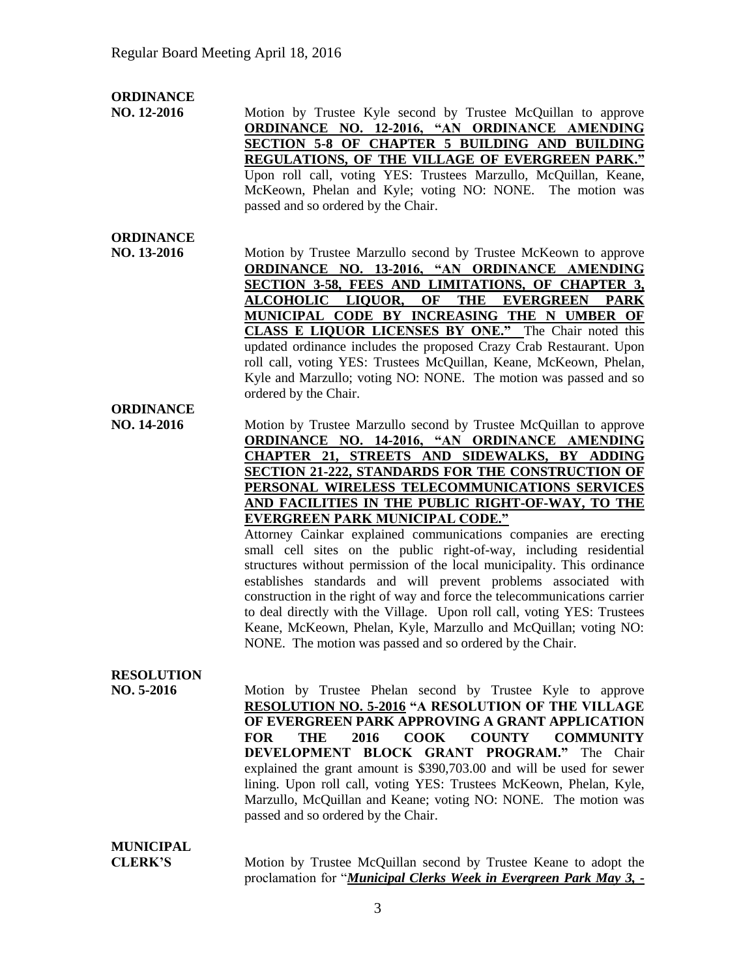#### **ORDINANCE**

**NO. 12-2016** Motion by Trustee Kyle second by Trustee McQuillan to approve **ORDINANCE NO. 12-2016, "AN ORDINANCE AMENDING SECTION 5-8 OF CHAPTER 5 BUILDING AND BUILDING REGULATIONS, OF THE VILLAGE OF EVERGREEN PARK."** Upon roll call, voting YES: Trustees Marzullo, McQuillan, Keane, McKeown, Phelan and Kyle; voting NO: NONE. The motion was passed and so ordered by the Chair.

## **ORDINANCE**

**NO. 13-2016** Motion by Trustee Marzullo second by Trustee McKeown to approve **ORDINANCE NO. 13-2016, "AN ORDINANCE AMENDING SECTION 3-58, FEES AND LIMITATIONS, OF CHAPTER 3, ALCOHOLIC LIQUOR, OF THE EVERGREEN PARK MUNICIPAL CODE BY INCREASING THE N UMBER OF CLASS E LIQUOR LICENSES BY ONE."** The Chair noted this updated ordinance includes the proposed Crazy Crab Restaurant. Upon roll call, voting YES: Trustees McQuillan, Keane, McKeown, Phelan, Kyle and Marzullo; voting NO: NONE. The motion was passed and so ordered by the Chair.

# **ORDINANCE**

**NO. 14-2016** Motion by Trustee Marzullo second by Trustee McQuillan to approve **ORDINANCE NO. 14-2016, "AN ORDINANCE AMENDING CHAPTER 21, STREETS AND SIDEWALKS, BY ADDING SECTION 21-222, STANDARDS FOR THE CONSTRUCTION OF PERSONAL WIRELESS TELECOMMUNICATIONS SERVICES AND FACILITIES IN THE PUBLIC RIGHT-OF-WAY, TO THE EVERGREEN PARK MUNICIPAL CODE."** 

> Attorney Cainkar explained communications companies are erecting small cell sites on the public right-of-way, including residential structures without permission of the local municipality. This ordinance establishes standards and will prevent problems associated with construction in the right of way and force the telecommunications carrier to deal directly with the Village. Upon roll call, voting YES: Trustees Keane, McKeown, Phelan, Kyle, Marzullo and McQuillan; voting NO: NONE. The motion was passed and so ordered by the Chair.

## **RESOLUTION**

**NO. 5-2016** Motion by Trustee Phelan second by Trustee Kyle to approve **RESOLUTION NO. 5-2016 "A RESOLUTION OF THE VILLAGE OF EVERGREEN PARK APPROVING A GRANT APPLICATION FOR THE 2016 COOK COUNTY COMMUNITY DEVELOPMENT BLOCK GRANT PROGRAM."** The Chair explained the grant amount is \$390,703.00 and will be used for sewer lining. Upon roll call, voting YES: Trustees McKeown, Phelan, Kyle, Marzullo, McQuillan and Keane; voting NO: NONE. The motion was passed and so ordered by the Chair.

# **MUNICIPAL**

**CLERK'S** Motion by Trustee McQuillan second by Trustee Keane to adopt the proclamation for "*Municipal Clerks Week in Evergreen Park May 3, -*